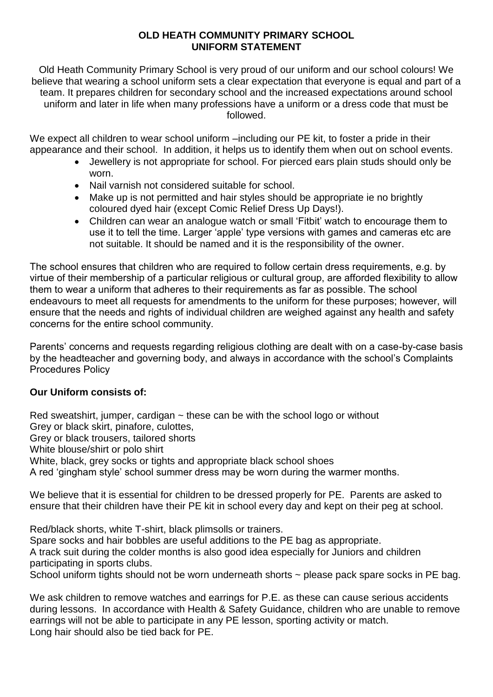## **OLD HEATH COMMUNITY PRIMARY SCHOOL UNIFORM STATEMENT**

Old Heath Community Primary School is very proud of our uniform and our school colours! We believe that wearing a school uniform sets a clear expectation that everyone is equal and part of a team. It prepares children for secondary school and the increased expectations around school uniform and later in life when many professions have a uniform or a dress code that must be followed.

We expect all children to wear school uniform –including our PE kit, to foster a pride in their appearance and their school. In addition, it helps us to identify them when out on school events.

- Jewellery is not appropriate for school. For pierced ears plain studs should only be worn.
- Nail varnish not considered suitable for school.
- Make up is not permitted and hair styles should be appropriate ie no brightly coloured dyed hair (except Comic Relief Dress Up Days!).
- Children can wear an analogue watch or small 'Fitbit' watch to encourage them to use it to tell the time. Larger 'apple' type versions with games and cameras etc are not suitable. It should be named and it is the responsibility of the owner.

The school ensures that children who are required to follow certain dress requirements, e.g. by virtue of their membership of a particular religious or cultural group, are afforded flexibility to allow them to wear a uniform that adheres to their requirements as far as possible. The school endeavours to meet all requests for amendments to the uniform for these purposes; however, will ensure that the needs and rights of individual children are weighed against any health and safety concerns for the entire school community.

Parents' concerns and requests regarding religious clothing are dealt with on a case-by-case basis by the headteacher and governing body, and always in accordance with the school's Complaints Procedures Policy

## **Our Uniform consists of:**

Red sweatshirt, jumper, cardigan  $\sim$  these can be with the school logo or without Grey or black skirt, pinafore, culottes,

Grey or black trousers, tailored shorts

White blouse/shirt or polo shirt

White, black, grey socks or tights and appropriate black school shoes

A red 'gingham style' school summer dress may be worn during the warmer months.

We believe that it is essential for children to be dressed properly for PE. Parents are asked to ensure that their children have their PE kit in school every day and kept on their peg at school.

Red/black shorts, white T-shirt, black plimsolls or trainers. Spare socks and hair bobbles are useful additions to the PE bag as appropriate. A track suit during the colder months is also good idea especially for Juniors and children participating in sports clubs. School uniform tights should not be worn underneath shorts ~ please pack spare socks in PE bag.

We ask children to remove watches and earrings for P.E. as these can cause serious accidents during lessons. In accordance with Health & Safety Guidance, children who are unable to remove earrings will not be able to participate in any PE lesson, sporting activity or match. Long hair should also be tied back for PE.